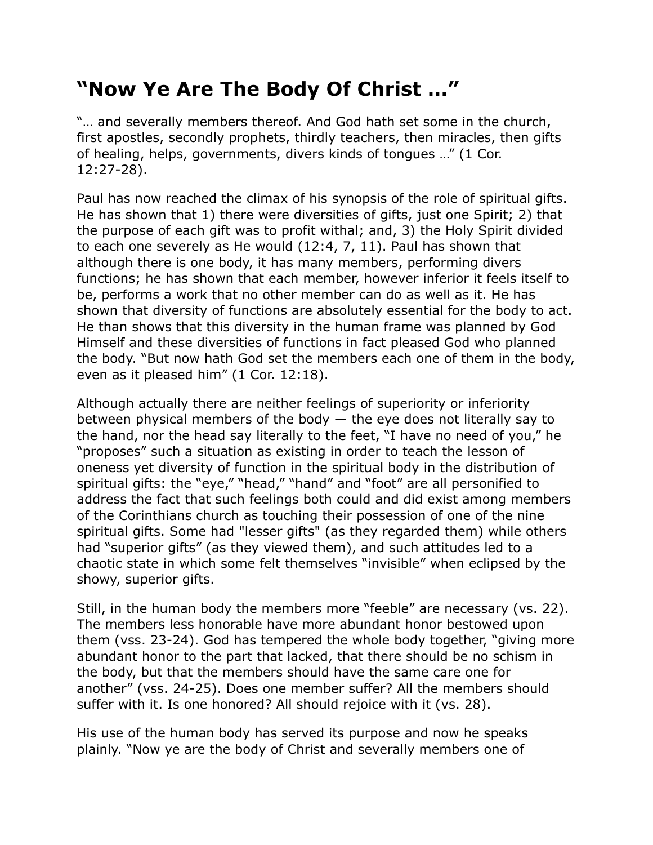## **"Now Ye Are The Body Of Christ …"**

"… and severally members thereof. And God hath set some in the church, first apostles, secondly prophets, thirdly teachers, then miracles, then gifts of healing, helps, governments, divers kinds of tongues …" (1 Cor. 12:27-28).

Paul has now reached the climax of his synopsis of the role of spiritual gifts. He has shown that 1) there were diversities of gifts, just one Spirit; 2) that the purpose of each gift was to profit withal; and, 3) the Holy Spirit divided to each one severely as He would (12:4, 7, 11). Paul has shown that although there is one body, it has many members, performing divers functions; he has shown that each member, however inferior it feels itself to be, performs a work that no other member can do as well as it. He has shown that diversity of functions are absolutely essential for the body to act. He than shows that this diversity in the human frame was planned by God Himself and these diversities of functions in fact pleased God who planned the body. "But now hath God set the members each one of them in the body, even as it pleased him" (1 Cor. 12:18).

Although actually there are neither feelings of superiority or inferiority between physical members of the body  $-$  the eye does not literally say to the hand, nor the head say literally to the feet, "I have no need of you," he "proposes" such a situation as existing in order to teach the lesson of oneness yet diversity of function in the spiritual body in the distribution of spiritual gifts: the "eye," "head," "hand" and "foot" are all personified to address the fact that such feelings both could and did exist among members of the Corinthians church as touching their possession of one of the nine spiritual gifts. Some had "lesser gifts" (as they regarded them) while others had "superior gifts" (as they viewed them), and such attitudes led to a chaotic state in which some felt themselves "invisible" when eclipsed by the showy, superior gifts.

Still, in the human body the members more "feeble" are necessary (vs. 22). The members less honorable have more abundant honor bestowed upon them (vss. 23-24). God has tempered the whole body together, "giving more abundant honor to the part that lacked, that there should be no schism in the body, but that the members should have the same care one for another" (vss. 24-25). Does one member suffer? All the members should suffer with it. Is one honored? All should rejoice with it (vs. 28).

His use of the human body has served its purpose and now he speaks plainly. "Now ye are the body of Christ and severally members one of